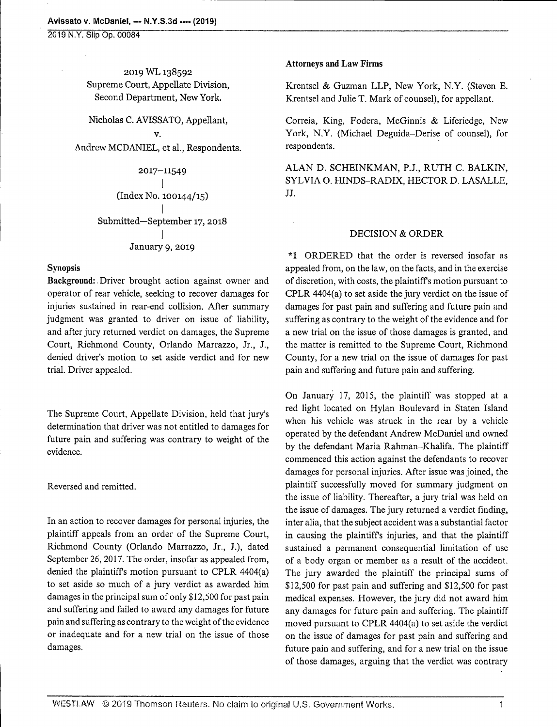2019 N.Y. Slip Op. 00084

2019 WL138592 Supreme Court, Appellate Division, Second Department, New York.

Nicholas C. AVISSATO, Appellant, V.

Andrew MCDANIEL, et al., Respondents.

2017-11549 . (Index No. 100144/15)

Submitted—September 17, 2018  $\cdot$ January 9, 2019

## **Synopsis**

Background:. Driver brought action against owner and operator of rear vehicle, seeking to recover damages for injuries sustained in rear-end collision. After summary judgment was granted to driver on issue of liability, and after jury returned verdict on damages, the Supreme Court, Richmond County, Orlando Marrazzo, Jr., J., denied driver's motion to set aside verdict and for new trial. Driver appealed.

The Supreme Court, Appellate Division, held that jury's determination that driver was not entitled to damages for future pain and suffering was contrary to weight of the evidence.

Reversed and remitted.

In an action to recover damages for personal injuries, the plaintiff appeals from an order of the Supreme Court, Richmond County (Orlando Marrazzo, Jr., J.), dated September 26, 2017. The order, insofar as appealed from, denied the plaintiffs motion pursuant to CPLR 4404(a) to set aside so much of a jury verdict as awarded him damages in the principal sum of only \$ 12,500 for past pain and suffering and failed to award any damages for future pain and suffering as contrary to the weight of the evidence or inadequate and for a new trial on the issue of those damages.

## Attorneys and Law Firms

Krentsel & Guzman LLP, New York, N.Y. (Steven E. Krentsel and Julie T. Mark of counsel), for appellant.

Correia, King, Fodera, McGinnis & Liferiedge, New York, N.Y. (Michael Deguida-Derise of counsel), for respondents.

ALAN D. SCHEINKMAN, P.J., RUTH C. BALKIN, SYLVIA O. HINDS-RADIX, HECTOR D. LASALLE, JJ.

## DECISION & ORDER

\*1 ORDERED that the order is reversed insofar as appealed from, on the law, on the facts, and in the exercise of discretion, with costs, the plaintiffs motion pursuant to CPLR 4404(a) to set aside the jury verdict on the issue of damages for past pain and suffering and future pain and suffering as contrary to the weight of the evidence and for a new trial on the issue of those damages is granted, and the matter is remitted to the Supreme Court, Richmond County, for a new trial on the issue of damages for past pain and suffering and future pain and suffering.

On January 17, 2015, the plaintiff was stopped at a red light located on Hylan Boulevard in Staten Island when his vehicle was struck in the rear by a vehicle operated by the defendant Andrew McDaniel and owned by the defendant Maria Rahman-Khalifa. The plaintiff commenced this action against the defendants to recover damages for personal injuries. After issue was joined, the plaintiff successfully moved for summary judgment on the issue of liability. Thereafter, a jury trial was held on the issue of damages. The jury returned a verdict finding, inter alia, that the subject accident was a substantial factor in causing the plaintiffs injuries, and that the plaintiff sustained a permanent consequential limitation of use of a body organ or member as a result of the accident. The jury awarded the plaintiff the principal sums of \$12,500 for past pain and suffering and \$12,500 for past medical expenses. However, the jury did not award him any damages for future pain and suffering. The plaintiff moved pursuant to CPLR 4404(a) to set aside the verdict on the issue of damages for past pain and suffering and future pain and suffering, and for a new trial on the issue of those damages, arguing that the verdict was contrary